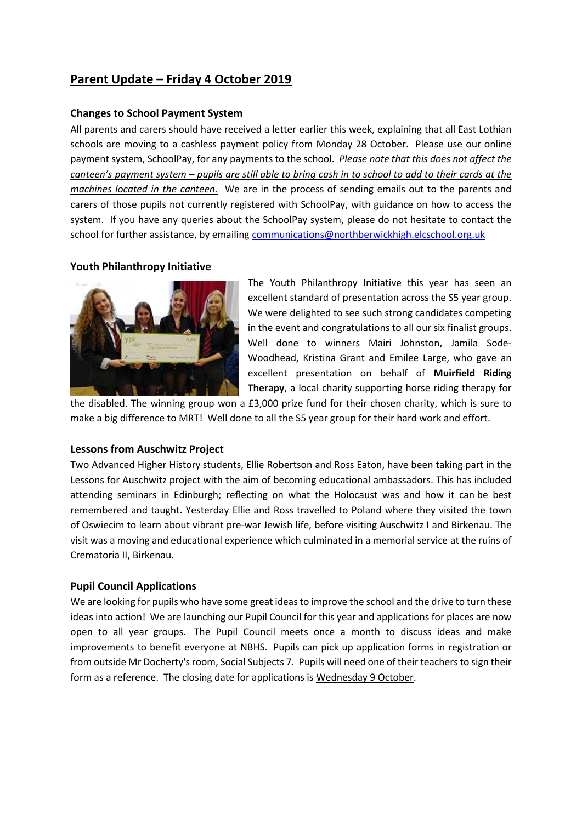# **Parent Update – Friday 4 October 2019**

## **Changes to School Payment System**

All parents and carers should have received a letter earlier this week, explaining that all East Lothian schools are moving to a cashless payment policy from Monday 28 October. Please use our online payment system, SchoolPay, for any payments to the school. *Please note that this does not affect the canteen's payment system – pupils are still able to bring cash in to school to add to their cards at the machines located in the canteen.* We are in the process of sending emails out to the parents and carers of those pupils not currently registered with SchoolPay, with guidance on how to access the system. If you have any queries about the SchoolPay system, please do not hesitate to contact the school for further assistance, by emailin[g communications@northberwickhigh.elcschool.org.uk](mailto:communications@northberwickhigh.elcschool.org.uk)

## **Youth Philanthropy Initiative**



The Youth Philanthropy Initiative this year has seen an excellent standard of presentation across the S5 year group. We were delighted to see such strong candidates competing in the event and congratulations to all our six finalist groups. Well done to winners Mairi Johnston, Jamila Sode-Woodhead, Kristina Grant and Emilee Large, who gave an excellent presentation on behalf of **Muirfield Riding Therapy**, a local charity supporting horse riding therapy for

the disabled. The winning group won a £3,000 prize fund for their chosen charity, which is sure to make a big difference to MRT! Well done to all the S5 year group for their hard work and effort.

### **Lessons from Auschwitz Project**

Two Advanced Higher History students, Ellie Robertson and Ross Eaton, have been taking part in the Lessons for Auschwitz project with the aim of becoming educational ambassadors. This has included attending seminars in Edinburgh; reflecting on what the Holocaust was and how it can be best remembered and taught. Yesterday Ellie and Ross travelled to Poland where they visited the town of Oswiecim to learn about vibrant pre-war Jewish life, before visiting Auschwitz I and Birkenau. The visit was a moving and educational experience which culminated in a memorial service at the ruins of Crematoria II, Birkenau.

### **Pupil Council Applications**

We are looking for pupils who have some great ideas to improve the school and the drive to turn these ideas into action! We are launching our Pupil Council for this year and applications for places are now open to all year groups. The Pupil Council meets once a month to discuss ideas and make improvements to benefit everyone at NBHS. Pupils can pick up application forms in registration or from outside Mr Docherty's room, Social Subjects 7. Pupils will need one of their teachers to sign their form as a reference. The closing date for applications is Wednesday 9 October.